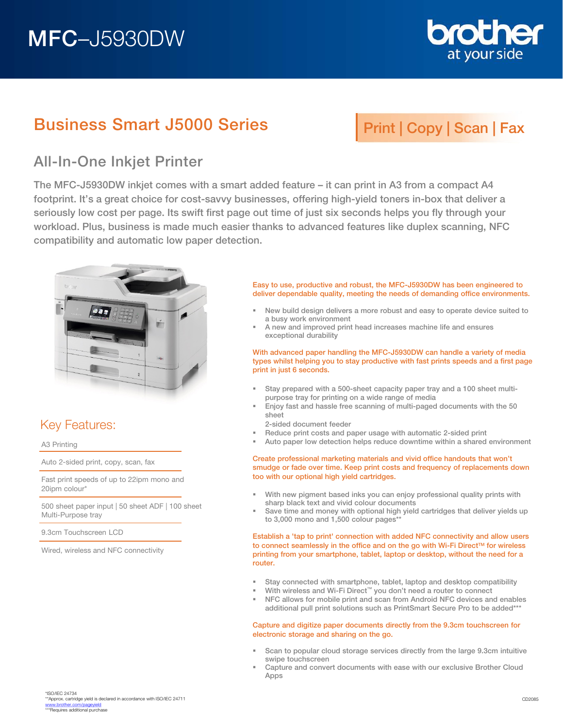# MFC–J5930DW



## Business Smart J5000 Series

# Print | Copy | Scan | Fax

### All-In-One Inkjet Printer

The MFC-J5930DW inkjet comes with a smart added feature – it can print in A3 from a compact A4 footprint. It's a great choice for cost-savvy businesses, offering high-yield toners in-box that deliver a seriously low cost per page. Its swift first page out time of just six seconds helps you fly through your workload. Plus, business is made much easier thanks to advanced features like duplex scanning, NFC compatibility and automatic low paper detection.



### Key Features:

A3 Printing

Auto 2-sided print, copy, scan, fax

Fast print speeds of up to 22ipm mono and 20ipm colour\*

500 sheet paper input | 50 sheet ADF | 100 sheet Multi-Purpose tray

9.3cm Touchscreen LCD

Wired, wireless and NFC connectivity

Easy to use, productive and robust, the MFC-J5930DW has been engineered to deliver dependable quality, meeting the needs of demanding office environments.

- New build design delivers a more robust and easy to operate device suited to a busy work environment
- A new and improved print head increases machine life and ensures exceptional durability

With advanced paper handling the MFC-J5930DW can handle a variety of media types whilst helping you to stay productive with fast prints speeds and a first page print in just 6 seconds.

- Stay prepared with a 500-sheet capacity paper tray and a 100 sheet multipurpose tray for printing on a wide range of media
- Enjoy fast and hassle free scanning of multi-paged documents with the 50 sheet
- 2-sided document feeder
- Reduce print costs and paper usage with automatic 2-sided print
- Auto paper low detection helps reduce downtime within a shared environment

#### Create professional marketing materials and vivid office handouts that won't smudge or fade over time. Keep print costs and frequency of replacements down too with our optional high yield cartridges.

- With new pigment based inks you can enjoy professional quality prints with sharp black text and vivid colour documents
- Save time and money with optional high yield cartridges that deliver yields up to 3,000 mono and 1,500 colour pages\*\*

Establish a 'tap to print' connection with added NFC connectivity and allow users to connect seamlessly in the office and on the go with Wi-Fi Direct™ for wireless printing from your smartphone, tablet, laptop or desktop, without the need for a router.

- Stay connected with smartphone, tablet, laptop and desktop compatibility
- With wireless and Wi-Fi Direct™ you don't need a router to connect
- NFC allows for mobile print and scan from Android NFC devices and enables additional pull print solutions such as PrintSmart Secure Pro to be added\*\*\*

#### Capture and digitize paper documents directly from the 9.3cm touchscreen for electronic storage and sharing on the go.

- Scan to popular cloud storage services directly from the large 9.3cm intuitive swipe touchscreen
- Capture and convert documents with ease with our exclusive Brother Cloud Apps